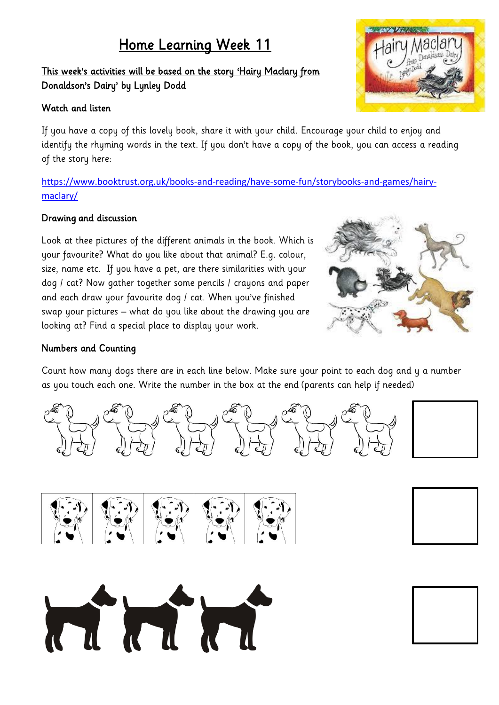## Home Learning Week 11

### This week's activities will be based on the story 'Hairy Maclary from Donaldson's Dairy' by Lynley Dodd

#### Watch and listen

If you have a copy of this lovely book, share it with your child. Encourage your child to enjoy and identify the rhyming words in the text. If you don't have a copy of the book, you can access a reading of the story here:

[https://www.booktrust.org.uk/books-and-reading/have-some-fun/storybooks-and-games/hairy](https://www.booktrust.org.uk/books-and-reading/have-some-fun/storybooks-and-games/hairy-maclary/)[maclary/](https://www.booktrust.org.uk/books-and-reading/have-some-fun/storybooks-and-games/hairy-maclary/)

#### Drawing and discussion

Look at thee pictures of the different animals in the book. Which is your favourite? What do you like about that animal? E.g. colour, size, name etc. If you have a pet, are there similarities with your dog / cat? Now gather together some pencils / crayons and paper and each draw your favourite dog / cat. When you've finished swap your pictures – what do you like about the drawing you are looking at? Find a special place to display your work.



#### Numbers and Counting

Count how many dogs there are in each line below. Make sure your point to each dog and y a number as you touch each one. Write the number in the box at the end (parents can help if needed)







MMMM